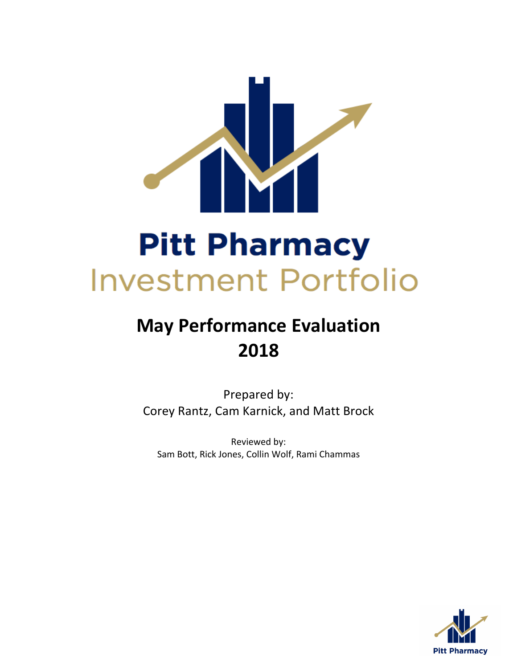

# **May Performance Evaluation 2018**

Prepared by: Corey Rantz, Cam Karnick, and Matt Brock

Reviewed by: Sam Bott, Rick Jones, Collin Wolf, Rami Chammas

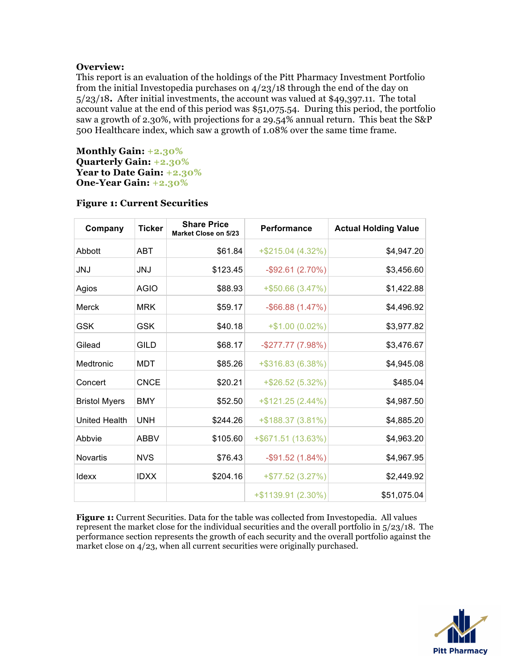# **Overview:**

This report is an evaluation of the holdings of the Pitt Pharmacy Investment Portfolio from the initial Investopedia purchases on 4/23/18 through the end of the day on 5/23/18**.** After initial investments, the account was valued at \$49,397.11. The total account value at the end of this period was \$51,075.54. During this period, the portfolio saw a growth of 2.30%, with projections for a 29.54% annual return. This beat the S&P 500 Healthcare index, which saw a growth of 1.08% over the same time frame.

**Monthly Gain: +2.30% Quarterly Gain: +2.30% Year to Date Gain: +2.30% One-Year Gain: +2.30%**

| Company              | <b>Ticker</b> | <b>Share Price</b><br><b>Market Close on 5/23</b> | Performance           | <b>Actual Holding Value</b> |
|----------------------|---------------|---------------------------------------------------|-----------------------|-----------------------------|
| Abbott               | <b>ABT</b>    | \$61.84                                           | +\$215.04 (4.32%)     | \$4,947.20                  |
| <b>JNJ</b>           | <b>JNJ</b>    | \$123.45                                          | $-$ \$92.61 (2.70%)   | \$3,456.60                  |
| Agios                | <b>AGIO</b>   | \$88.93                                           | $+$ \$50.66 (3.47%)   | \$1,422.88                  |
| Merck                | <b>MRK</b>    | \$59.17                                           | $-$ \$66.88 (1.47%)   | \$4,496.92                  |
| <b>GSK</b>           | <b>GSK</b>    | \$40.18                                           | $+$1.00(0.02%)$       | \$3,977.82                  |
| Gilead               | GILD          | \$68.17                                           | $-$ \$277.77 (7.98%)  | \$3,476.67                  |
| Medtronic            | MDT           | \$85.26                                           | +\$316.83 (6.38%)     | \$4,945.08                  |
| Concert              | <b>CNCE</b>   | \$20.21                                           | $+$ \$26.52 (5.32%)   | \$485.04                    |
| <b>Bristol Myers</b> | <b>BMY</b>    | \$52.50                                           | +\$121.25 (2.44%)     | \$4,987.50                  |
| <b>United Health</b> | <b>UNH</b>    | \$244.26                                          | +\$188.37 (3.81%)     | \$4,885.20                  |
| Abbvie               | <b>ABBV</b>   | \$105.60                                          | +\$671.51 (13.63%)    | \$4,963.20                  |
| <b>Novartis</b>      | <b>NVS</b>    | \$76.43                                           | $-$ \$91.52 (1.84%)   | \$4,967.95                  |
| Idexx                | <b>IDXX</b>   | \$204.16                                          | $+$ \$77.52 (3.27%)   | \$2,449.92                  |
|                      |               |                                                   | $+$ \$1139.91 (2.30%) | \$51,075.04                 |

# **Figure 1: Current Securities**

**Figure 1:** Current Securities. Data for the table was collected from Investopedia. All values represent the market close for the individual securities and the overall portfolio in 5/23/18. The performance section represents the growth of each security and the overall portfolio against the market close on  $4/23$ , when all current securities were originally purchased.

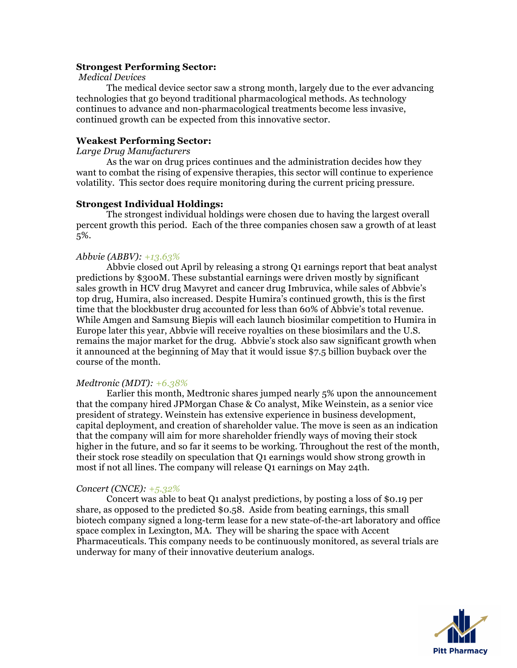#### **Strongest Performing Sector:**

#### *Medical Devices*

The medical device sector saw a strong month, largely due to the ever advancing technologies that go beyond traditional pharmacological methods. As technology continues to advance and non-pharmacological treatments become less invasive, continued growth can be expected from this innovative sector.

## **Weakest Performing Sector:**

*Large Drug Manufacturers*

As the war on drug prices continues and the administration decides how they want to combat the rising of expensive therapies, this sector will continue to experience volatility. This sector does require monitoring during the current pricing pressure.

# **Strongest Individual Holdings:**

The strongest individual holdings were chosen due to having the largest overall percent growth this period. Each of the three companies chosen saw a growth of at least 5%.

#### *Abbvie (ABBV): +13.63%*

Abbvie closed out April by releasing a strong Q1 earnings report that beat analyst predictions by \$300M. These substantial earnings were driven mostly by significant sales growth in HCV drug Mavyret and cancer drug Imbruvica, while sales of Abbvie's top drug, Humira, also increased. Despite Humira's continued growth, this is the first time that the blockbuster drug accounted for less than 60% of Abbvie's total revenue. While Amgen and Samsung Biepis will each launch biosimilar competition to Humira in Europe later this year, Abbvie will receive royalties on these biosimilars and the U.S. remains the major market for the drug. Abbvie's stock also saw significant growth when it announced at the beginning of May that it would issue \$7.5 billion buyback over the course of the month.

#### *Medtronic (MDT): +6.38%*

Earlier this month, Medtronic shares jumped nearly 5% upon the announcement that the company hired JPMorgan Chase & Co analyst, Mike Weinstein, as a senior vice president of strategy. Weinstein has extensive experience in business development, capital deployment, and creation of shareholder value. The move is seen as an indication that the company will aim for more shareholder friendly ways of moving their stock higher in the future, and so far it seems to be working. Throughout the rest of the month, their stock rose steadily on speculation that Q1 earnings would show strong growth in most if not all lines. The company will release Q1 earnings on May 24th.

#### *Concert (CNCE): +5.32%*

Concert was able to beat Q1 analyst predictions, by posting a loss of \$0.19 per share, as opposed to the predicted \$0.58. Aside from beating earnings, this small biotech company signed a long-term lease for a new state-of-the-art laboratory and office space complex in Lexington, MA. They will be sharing the space with Accent Pharmaceuticals. This company needs to be continuously monitored, as several trials are underway for many of their innovative deuterium analogs.

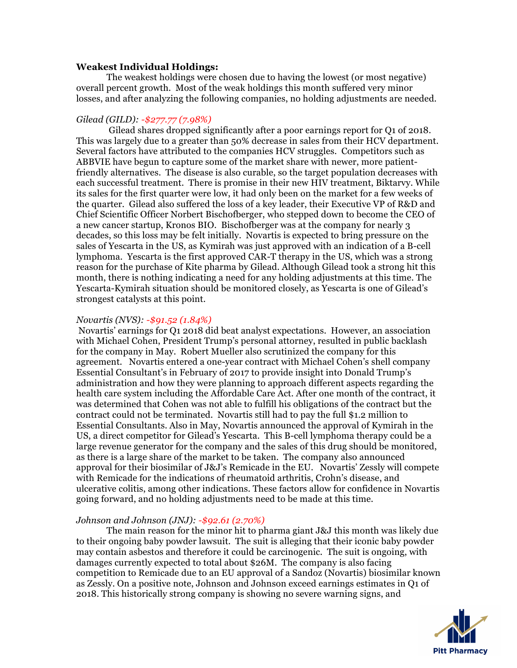# **Weakest Individual Holdings:**

The weakest holdings were chosen due to having the lowest (or most negative) overall percent growth. Most of the weak holdings this month suffered very minor losses, and after analyzing the following companies, no holding adjustments are needed.

## *Gilead (GILD): -\$277.77 (7.98%)*

Gilead shares dropped significantly after a poor earnings report for Q1 of 2018. This was largely due to a greater than 50% decrease in sales from their HCV department. Several factors have attributed to the companies HCV struggles. Competitors such as ABBVIE have begun to capture some of the market share with newer, more patientfriendly alternatives. The disease is also curable, so the target population decreases with each successful treatment. There is promise in their new HIV treatment, Biktarvy. While its sales for the first quarter were low, it had only been on the market for a few weeks of the quarter. Gilead also suffered the loss of a key leader, their Executive VP of R&D and Chief Scientific Officer Norbert Bischofberger, who stepped down to become the CEO of a new cancer startup, Kronos BIO. Bischofberger was at the company for nearly 3 decades, so this loss may be felt initially. Novartis is expected to bring pressure on the sales of Yescarta in the US, as Kymirah was just approved with an indication of a B-cell lymphoma. Yescarta is the first approved CAR-T therapy in the US, which was a strong reason for the purchase of Kite pharma by Gilead. Although Gilead took a strong hit this month, there is nothing indicating a need for any holding adjustments at this time. The Yescarta-Kymirah situation should be monitored closely, as Yescarta is one of Gilead's strongest catalysts at this point.

# *Novartis (NVS): -\$91.52 (1.84%)*

Novartis' earnings for Q1 2018 did beat analyst expectations. However, an association with Michael Cohen, President Trump's personal attorney, resulted in public backlash for the company in May. Robert Mueller also scrutinized the company for this agreement. Novartis entered a one-year contract with Michael Cohen's shell company Essential Consultant's in February of 2017 to provide insight into Donald Trump's administration and how they were planning to approach different aspects regarding the health care system including the Affordable Care Act. After one month of the contract, it was determined that Cohen was not able to fulfill his obligations of the contract but the contract could not be terminated. Novartis still had to pay the full \$1.2 million to Essential Consultants. Also in May, Novartis announced the approval of Kymirah in the US, a direct competitor for Gilead's Yescarta. This B-cell lymphoma therapy could be a large revenue generator for the company and the sales of this drug should be monitored, as there is a large share of the market to be taken. The company also announced approval for their biosimilar of J&J's Remicade in the EU. Novartis' Zessly will compete with Remicade for the indications of rheumatoid arthritis, Crohn's disease, and ulcerative colitis, among other indications. These factors allow for confidence in Novartis going forward, and no holding adjustments need to be made at this time.

#### *Johnson and Johnson (JNJ): -\$92.61 (2.70%)*

The main reason for the minor hit to pharma giant J&J this month was likely due to their ongoing baby powder lawsuit. The suit is alleging that their iconic baby powder may contain asbestos and therefore it could be carcinogenic. The suit is ongoing, with damages currently expected to total about \$26M. The company is also facing competition to Remicade due to an EU approval of a Sandoz (Novartis) biosimilar known as Zessly. On a positive note, Johnson and Johnson exceed earnings estimates in Q1 of 2018. This historically strong company is showing no severe warning signs, and

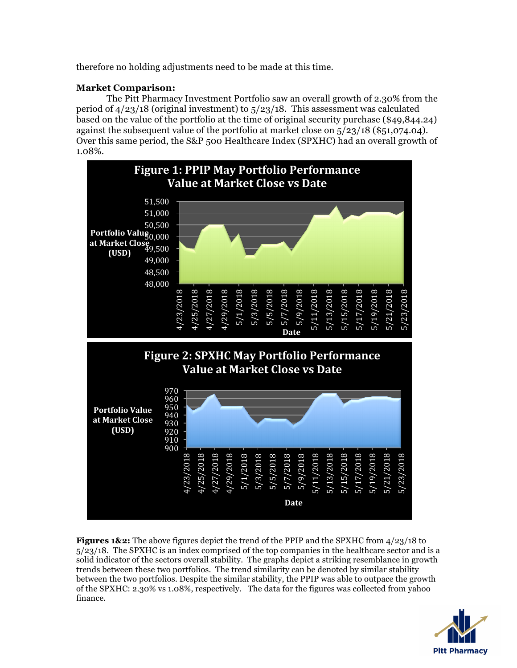therefore no holding adjustments need to be made at this time.

# **Market Comparison:**

The Pitt Pharmacy Investment Portfolio saw an overall growth of 2.30% from the period of 4/23/18 (original investment) to 5/23/18. This assessment was calculated based on the value of the portfolio at the time of original security purchase (\$49,844.24) against the subsequent value of the portfolio at market close on 5/23/18 (\$51,074.04). Over this same period, the S&P 500 Healthcare Index (SPXHC) had an overall growth of 1.08%.



**Figures 1&2:** The above figures depict the trend of the PPIP and the SPXHC from 4/23/18 to 5/23/18. The SPXHC is an index comprised of the top companies in the healthcare sector and is a solid indicator of the sectors overall stability. The graphs depict a striking resemblance in growth trends between these two portfolios. The trend similarity can be denoted by similar stability between the two portfolios. Despite the similar stability, the PPIP was able to outpace the growth of the SPXHC: 2.30% vs 1.08%, respectively. The data for the figures was collected from yahoo finance.